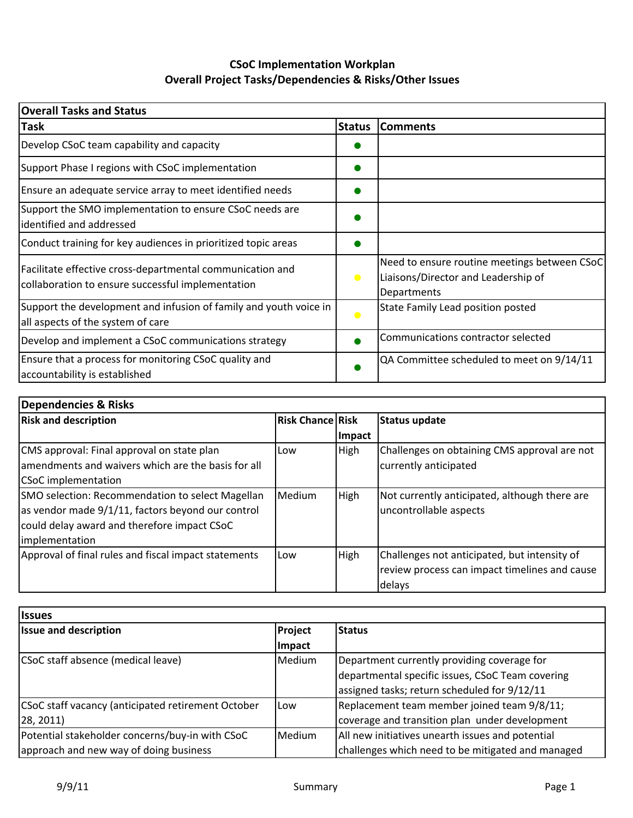## **CSoC Implementation Workplan Overall Project Tasks/Dependencies & Risks/Other Issues**

| <b>Overall Tasks and Status</b>                                                                                |               |                                                                                                    |  |  |  |  |  |
|----------------------------------------------------------------------------------------------------------------|---------------|----------------------------------------------------------------------------------------------------|--|--|--|--|--|
| <b>Task</b>                                                                                                    | <b>Status</b> | <b>Comments</b>                                                                                    |  |  |  |  |  |
| Develop CSoC team capability and capacity                                                                      |               |                                                                                                    |  |  |  |  |  |
| Support Phase I regions with CSoC implementation                                                               |               |                                                                                                    |  |  |  |  |  |
| Ensure an adequate service array to meet identified needs                                                      |               |                                                                                                    |  |  |  |  |  |
| Support the SMO implementation to ensure CSoC needs are<br>identified and addressed                            |               |                                                                                                    |  |  |  |  |  |
| Conduct training for key audiences in prioritized topic areas                                                  |               |                                                                                                    |  |  |  |  |  |
| Facilitate effective cross-departmental communication and<br>collaboration to ensure successful implementation | $\bullet$     | Need to ensure routine meetings between CSoC<br>Liaisons/Director and Leadership of<br>Departments |  |  |  |  |  |
| Support the development and infusion of family and youth voice in<br>all aspects of the system of care         | $\bullet$     | State Family Lead position posted                                                                  |  |  |  |  |  |
| Develop and implement a CSoC communications strategy                                                           |               | Communications contractor selected                                                                 |  |  |  |  |  |
| Ensure that a process for monitoring CSoC quality and<br>accountability is established                         |               | QA Committee scheduled to meet on 9/14/11                                                          |  |  |  |  |  |

| Dependencies & Risks                                 |                         |             |                                               |  |  |  |  |  |  |
|------------------------------------------------------|-------------------------|-------------|-----------------------------------------------|--|--|--|--|--|--|
| <b>Risk and description</b>                          | <b>Risk Chance Risk</b> |             | Status update                                 |  |  |  |  |  |  |
|                                                      |                         | Impact      |                                               |  |  |  |  |  |  |
| CMS approval: Final approval on state plan           | Low                     | High        | Challenges on obtaining CMS approval are not  |  |  |  |  |  |  |
| lamendments and waivers which are the basis for all  |                         |             | currently anticipated                         |  |  |  |  |  |  |
| <b>CSoC</b> implementation                           |                         |             |                                               |  |  |  |  |  |  |
| SMO selection: Recommendation to select Magellan     | Medium                  | High        | Not currently anticipated, although there are |  |  |  |  |  |  |
| as vendor made 9/1/11, factors beyond our control    |                         |             | uncontrollable aspects                        |  |  |  |  |  |  |
| could delay award and therefore impact CSoC          |                         |             |                                               |  |  |  |  |  |  |
| <i>implementation</i>                                |                         |             |                                               |  |  |  |  |  |  |
| Approval of final rules and fiscal impact statements | Low                     | <b>High</b> | Challenges not anticipated, but intensity of  |  |  |  |  |  |  |
|                                                      |                         |             | review process can impact timelines and cause |  |  |  |  |  |  |
|                                                      |                         |             | delays                                        |  |  |  |  |  |  |

| <b>Issues</b>                                      |         |                                                   |  |  |  |  |  |  |  |  |
|----------------------------------------------------|---------|---------------------------------------------------|--|--|--|--|--|--|--|--|
| <b>Issue and description</b>                       | Project | <b>Status</b>                                     |  |  |  |  |  |  |  |  |
|                                                    | Impact  |                                                   |  |  |  |  |  |  |  |  |
| CSoC staff absence (medical leave)                 | Medium  | Department currently providing coverage for       |  |  |  |  |  |  |  |  |
|                                                    |         | departmental specific issues, CSoC Team covering  |  |  |  |  |  |  |  |  |
|                                                    |         | assigned tasks; return scheduled for 9/12/11      |  |  |  |  |  |  |  |  |
| CSoC staff vacancy (anticipated retirement October | Low     | Replacement team member joined team 9/8/11;       |  |  |  |  |  |  |  |  |
| 28, 2011                                           |         | coverage and transition plan under development    |  |  |  |  |  |  |  |  |
| Potential stakeholder concerns/buy-in with CSoC    | Medium  | All new initiatives unearth issues and potential  |  |  |  |  |  |  |  |  |
| approach and new way of doing business             |         | challenges which need to be mitigated and managed |  |  |  |  |  |  |  |  |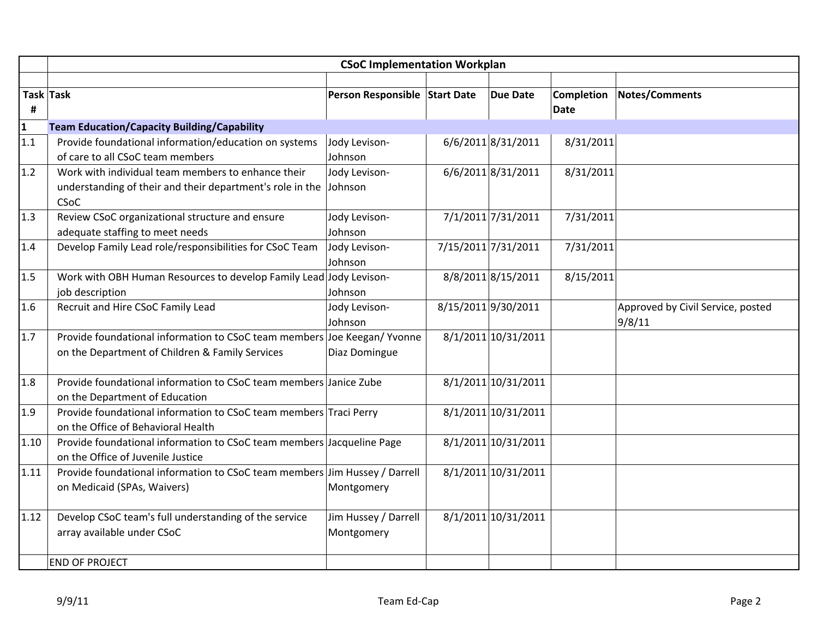|              | <b>CSoC Implementation Workplan</b>                                        |                               |  |                     |             |                                   |  |  |
|--------------|----------------------------------------------------------------------------|-------------------------------|--|---------------------|-------------|-----------------------------------|--|--|
|              |                                                                            |                               |  |                     |             |                                   |  |  |
|              | Task Task                                                                  | Person Responsible Start Date |  | <b>Due Date</b>     | Completion  | Notes/Comments                    |  |  |
| #            |                                                                            |                               |  |                     | <b>Date</b> |                                   |  |  |
| $\mathbf{1}$ | <b>Team Education/Capacity Building/Capability</b>                         |                               |  |                     |             |                                   |  |  |
| 1.1          | Provide foundational information/education on systems                      | Jody Levison-                 |  | 6/6/2011 8/31/2011  | 8/31/2011   |                                   |  |  |
|              | of care to all CSoC team members                                           | Johnson                       |  |                     |             |                                   |  |  |
| 1.2          | Work with individual team members to enhance their                         | Jody Levison-                 |  | 6/6/2011 8/31/2011  | 8/31/2011   |                                   |  |  |
|              | understanding of their and their department's role in the<br><b>CSoC</b>   | Johnson                       |  |                     |             |                                   |  |  |
| 1.3          | Review CSoC organizational structure and ensure                            | Jody Levison-                 |  | 7/1/2011 7/31/2011  | 7/31/2011   |                                   |  |  |
|              | adequate staffing to meet needs                                            | Johnson                       |  |                     |             |                                   |  |  |
| 1.4          | Develop Family Lead role/responsibilities for CSoC Team                    | Jody Levison-                 |  | 7/15/2011 7/31/2011 | 7/31/2011   |                                   |  |  |
|              |                                                                            | Johnson                       |  |                     |             |                                   |  |  |
| 1.5          | Work with OBH Human Resources to develop Family Lead Jody Levison-         |                               |  | 8/8/2011 8/15/2011  | 8/15/2011   |                                   |  |  |
|              | job description                                                            | Johnson                       |  |                     |             |                                   |  |  |
| 1.6          | Recruit and Hire CSoC Family Lead                                          | Jody Levison-                 |  | 8/15/2011 9/30/2011 |             | Approved by Civil Service, posted |  |  |
|              |                                                                            | Johnson                       |  |                     |             | 9/8/11                            |  |  |
| 1.7          | Provide foundational information to CSoC team members Joe Keegan/ Yvonne   |                               |  | 8/1/2011 10/31/2011 |             |                                   |  |  |
|              | on the Department of Children & Family Services                            | Diaz Domingue                 |  |                     |             |                                   |  |  |
| 1.8          | Provide foundational information to CSoC team members Janice Zube          |                               |  | 8/1/2011 10/31/2011 |             |                                   |  |  |
|              | on the Department of Education                                             |                               |  |                     |             |                                   |  |  |
| 1.9          | Provide foundational information to CSoC team members Traci Perry          |                               |  | 8/1/2011 10/31/2011 |             |                                   |  |  |
|              | on the Office of Behavioral Health                                         |                               |  |                     |             |                                   |  |  |
| 1.10         | Provide foundational information to CSoC team members Jacqueline Page      |                               |  | 8/1/2011 10/31/2011 |             |                                   |  |  |
|              | on the Office of Juvenile Justice                                          |                               |  |                     |             |                                   |  |  |
| 1.11         | Provide foundational information to CSoC team members Jim Hussey / Darrell |                               |  | 8/1/2011 10/31/2011 |             |                                   |  |  |
|              | on Medicaid (SPAs, Waivers)                                                | Montgomery                    |  |                     |             |                                   |  |  |
| 1.12         | Develop CSoC team's full understanding of the service                      | Jim Hussey / Darrell          |  | 8/1/2011 10/31/2011 |             |                                   |  |  |
|              | array available under CSoC                                                 | Montgomery                    |  |                     |             |                                   |  |  |
|              |                                                                            |                               |  |                     |             |                                   |  |  |
|              | <b>END OF PROJECT</b>                                                      |                               |  |                     |             |                                   |  |  |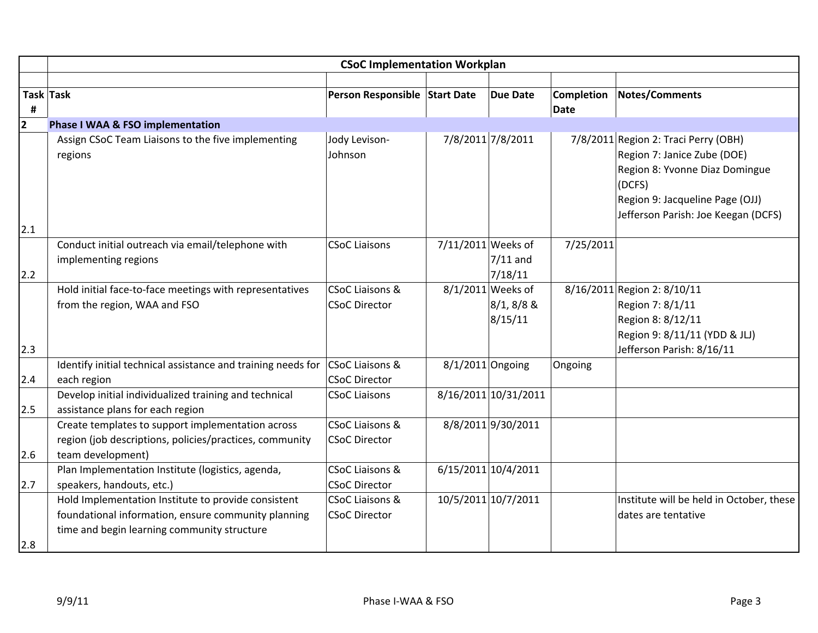|     | <b>CSoC Implementation Workplan</b>                                                                                                                       |                                                    |                    |                                              |                   |                                                                                                                                                                                           |  |
|-----|-----------------------------------------------------------------------------------------------------------------------------------------------------------|----------------------------------------------------|--------------------|----------------------------------------------|-------------------|-------------------------------------------------------------------------------------------------------------------------------------------------------------------------------------------|--|
|     |                                                                                                                                                           |                                                    |                    |                                              |                   |                                                                                                                                                                                           |  |
|     | Task Task                                                                                                                                                 | Person Responsible Start Date                      |                    | <b>Due Date</b>                              | <b>Completion</b> | <b>Notes/Comments</b>                                                                                                                                                                     |  |
| #   |                                                                                                                                                           |                                                    |                    |                                              | Date              |                                                                                                                                                                                           |  |
| 2   | Phase I WAA & FSO implementation                                                                                                                          |                                                    |                    |                                              |                   |                                                                                                                                                                                           |  |
| 2.1 | Assign CSoC Team Liaisons to the five implementing<br>regions                                                                                             | Jody Levison-<br>Johnson                           |                    | 7/8/2011 7/8/2011                            |                   | 7/8/2011 Region 2: Traci Perry (OBH)<br>Region 7: Janice Zube (DOE)<br>Region 8: Yvonne Diaz Domingue<br>(DCFS)<br>Region 9: Jacqueline Page (OJJ)<br>Jefferson Parish: Joe Keegan (DCFS) |  |
| 2.2 | Conduct initial outreach via email/telephone with<br>implementing regions                                                                                 | <b>CSoC Liaisons</b>                               | 7/11/2011 Weeks of | $7/11$ and<br>7/18/11                        | 7/25/2011         |                                                                                                                                                                                           |  |
| 2.3 | Hold initial face-to-face meetings with representatives<br>from the region, WAA and FSO                                                                   | <b>CSoC Liaisons &amp;</b><br><b>CSoC Director</b> |                    | 8/1/2011 Weeks of<br>$8/1, 8/8$ &<br>8/15/11 |                   | 8/16/2011 Region 2: 8/10/11<br>Region 7: 8/1/11<br>Region 8: 8/12/11<br>Region 9: 8/11/11 (YDD & JLJ)<br>Jefferson Parish: 8/16/11                                                        |  |
| 2.4 | Identify initial technical assistance and training needs for<br>each region                                                                               | <b>CSoC Liaisons &amp;</b><br><b>CSoC Director</b> | $8/1/2011$ Ongoing |                                              | Ongoing           |                                                                                                                                                                                           |  |
| 2.5 | Develop initial individualized training and technical<br>assistance plans for each region                                                                 | <b>CSoC Liaisons</b>                               |                    | 8/16/2011 10/31/2011                         |                   |                                                                                                                                                                                           |  |
| 2.6 | Create templates to support implementation across<br>region (job descriptions, policies/practices, community<br>team development)                         | <b>CSoC Liaisons &amp;</b><br><b>CSoC Director</b> |                    | 8/8/2011 9/30/2011                           |                   |                                                                                                                                                                                           |  |
|     | Plan Implementation Institute (logistics, agenda,                                                                                                         | <b>CSoC Liaisons &amp;</b>                         |                    | 6/15/2011 10/4/2011                          |                   |                                                                                                                                                                                           |  |
| 2.7 | speakers, handouts, etc.)                                                                                                                                 | <b>CSoC Director</b>                               |                    |                                              |                   |                                                                                                                                                                                           |  |
| 2.8 | Hold Implementation Institute to provide consistent<br>foundational information, ensure community planning<br>time and begin learning community structure | <b>CSoC Liaisons &amp;</b><br><b>CSoC Director</b> |                    | 10/5/2011 10/7/2011                          |                   | Institute will be held in October, these<br>dates are tentative                                                                                                                           |  |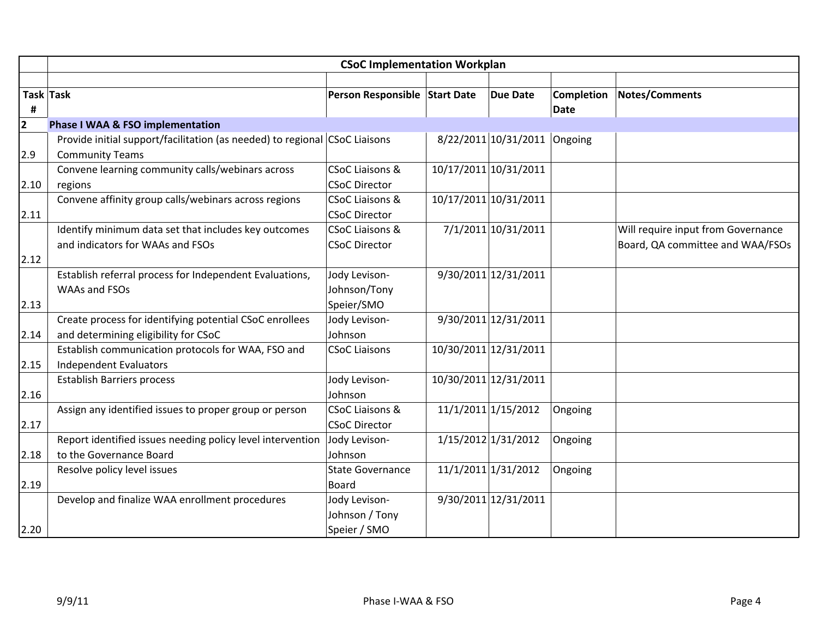|      | <b>CSoC Implementation Workplan</b>                                        |                               |  |                              |                   |                                    |  |  |
|------|----------------------------------------------------------------------------|-------------------------------|--|------------------------------|-------------------|------------------------------------|--|--|
|      |                                                                            |                               |  |                              |                   |                                    |  |  |
|      | Task Task                                                                  | Person Responsible Start Date |  | <b>Due Date</b>              | <b>Completion</b> | <b>Notes/Comments</b>              |  |  |
| #    |                                                                            |                               |  |                              | <b>Date</b>       |                                    |  |  |
| 2    | <b>Phase I WAA &amp; FSO implementation</b>                                |                               |  |                              |                   |                                    |  |  |
|      | Provide initial support/facilitation (as needed) to regional CSoC Liaisons |                               |  | 8/22/2011 10/31/2011 Ongoing |                   |                                    |  |  |
| 2.9  | <b>Community Teams</b>                                                     |                               |  |                              |                   |                                    |  |  |
|      | Convene learning community calls/webinars across                           | <b>CSoC Liaisons &amp;</b>    |  | 10/17/2011 10/31/2011        |                   |                                    |  |  |
| 2.10 | regions                                                                    | <b>CSoC Director</b>          |  |                              |                   |                                    |  |  |
|      | Convene affinity group calls/webinars across regions                       | CSoC Liaisons &               |  | 10/17/2011 10/31/2011        |                   |                                    |  |  |
| 2.11 |                                                                            | <b>CSoC Director</b>          |  |                              |                   |                                    |  |  |
|      | Identify minimum data set that includes key outcomes                       | <b>CSoC Liaisons &amp;</b>    |  | 7/1/2011 10/31/2011          |                   | Will require input from Governance |  |  |
|      | and indicators for WAAs and FSOs                                           | <b>CSoC Director</b>          |  |                              |                   | Board, QA committee and WAA/FSOs   |  |  |
| 2.12 |                                                                            |                               |  |                              |                   |                                    |  |  |
|      | Establish referral process for Independent Evaluations,                    | Jody Levison-                 |  | 9/30/2011 12/31/2011         |                   |                                    |  |  |
|      | WAAs and FSOs                                                              | Johnson/Tony                  |  |                              |                   |                                    |  |  |
| 2.13 |                                                                            | Speier/SMO                    |  |                              |                   |                                    |  |  |
|      | Create process for identifying potential CSoC enrollees                    | Jody Levison-                 |  | 9/30/2011 12/31/2011         |                   |                                    |  |  |
| 2.14 | and determining eligibility for CSoC                                       | Johnson                       |  |                              |                   |                                    |  |  |
|      | Establish communication protocols for WAA, FSO and                         | <b>CSoC Liaisons</b>          |  | 10/30/2011 12/31/2011        |                   |                                    |  |  |
| 2.15 | Independent Evaluators                                                     |                               |  |                              |                   |                                    |  |  |
|      | <b>Establish Barriers process</b>                                          | Jody Levison-                 |  | 10/30/2011 12/31/2011        |                   |                                    |  |  |
| 2.16 |                                                                            | Johnson                       |  |                              |                   |                                    |  |  |
|      | Assign any identified issues to proper group or person                     | CSoC Liaisons &               |  | 11/1/2011 1/15/2012          | Ongoing           |                                    |  |  |
| 2.17 |                                                                            | <b>CSoC Director</b>          |  |                              |                   |                                    |  |  |
|      | Report identified issues needing policy level intervention                 | Jody Levison-                 |  | 1/15/2012 1/31/2012          | Ongoing           |                                    |  |  |
| 2.18 | to the Governance Board                                                    | Johnson                       |  |                              |                   |                                    |  |  |
|      | Resolve policy level issues                                                | <b>State Governance</b>       |  | 11/1/2011 1/31/2012          | Ongoing           |                                    |  |  |
| 2.19 |                                                                            | <b>Board</b>                  |  |                              |                   |                                    |  |  |
|      | Develop and finalize WAA enrollment procedures                             | Jody Levison-                 |  | 9/30/2011 12/31/2011         |                   |                                    |  |  |
|      |                                                                            | Johnson / Tony                |  |                              |                   |                                    |  |  |
| 2.20 |                                                                            | Speier / SMO                  |  |                              |                   |                                    |  |  |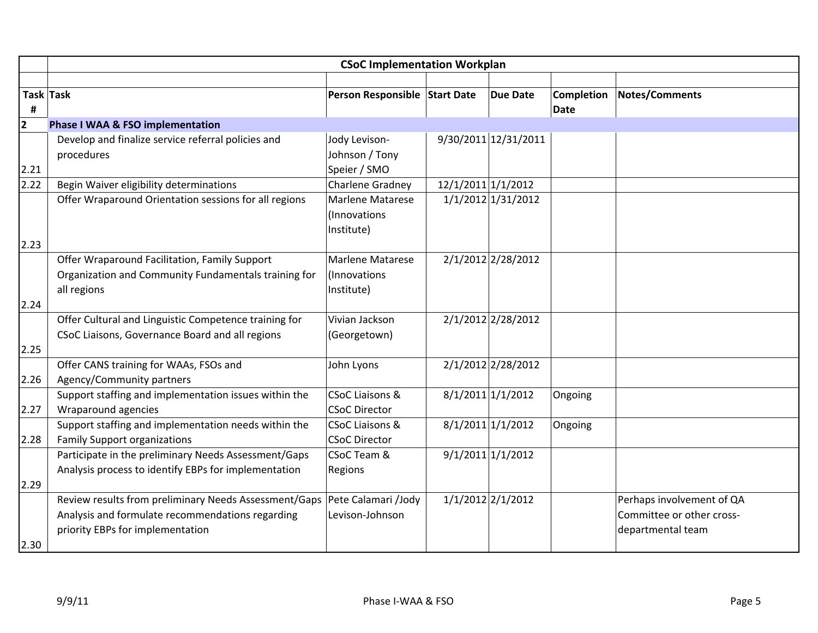|                         | <b>CSoC Implementation Workplan</b>                   |                               |                    |                      |                   |                           |  |  |
|-------------------------|-------------------------------------------------------|-------------------------------|--------------------|----------------------|-------------------|---------------------------|--|--|
|                         |                                                       |                               |                    |                      |                   |                           |  |  |
|                         | Task Task                                             | Person Responsible Start Date |                    | <b>Due Date</b>      | <b>Completion</b> | <b>Notes/Comments</b>     |  |  |
| #                       |                                                       |                               |                    |                      | <b>Date</b>       |                           |  |  |
| $\overline{\mathbf{2}}$ | <b>Phase I WAA &amp; FSO implementation</b>           |                               |                    |                      |                   |                           |  |  |
|                         | Develop and finalize service referral policies and    | Jody Levison-                 |                    | 9/30/2011 12/31/2011 |                   |                           |  |  |
|                         | procedures                                            | Johnson / Tony                |                    |                      |                   |                           |  |  |
| 2.21                    |                                                       | Speier / SMO                  |                    |                      |                   |                           |  |  |
| 2.22                    | Begin Waiver eligibility determinations               | Charlene Gradney              | 12/1/2011 1/1/2012 |                      |                   |                           |  |  |
|                         | Offer Wraparound Orientation sessions for all regions | Marlene Matarese              |                    | 1/1/2012 1/31/2012   |                   |                           |  |  |
|                         |                                                       | (Innovations                  |                    |                      |                   |                           |  |  |
|                         |                                                       | Institute)                    |                    |                      |                   |                           |  |  |
| 2.23                    |                                                       |                               |                    |                      |                   |                           |  |  |
|                         | Offer Wraparound Facilitation, Family Support         | <b>Marlene Matarese</b>       |                    | 2/1/2012 2/28/2012   |                   |                           |  |  |
|                         | Organization and Community Fundamentals training for  | (Innovations                  |                    |                      |                   |                           |  |  |
|                         | all regions                                           | Institute)                    |                    |                      |                   |                           |  |  |
| 2.24                    |                                                       |                               |                    |                      |                   |                           |  |  |
|                         | Offer Cultural and Linguistic Competence training for | Vivian Jackson                |                    | 2/1/2012 2/28/2012   |                   |                           |  |  |
|                         | CSoC Liaisons, Governance Board and all regions       | (Georgetown)                  |                    |                      |                   |                           |  |  |
| 2.25                    | Offer CANS training for WAAs, FSOs and                | John Lyons                    |                    | 2/1/2012 2/28/2012   |                   |                           |  |  |
| 2.26                    | Agency/Community partners                             |                               |                    |                      |                   |                           |  |  |
|                         | Support staffing and implementation issues within the | <b>CSoC Liaisons &amp;</b>    |                    | 8/1/2011 1/1/2012    | Ongoing           |                           |  |  |
| 2.27                    | Wraparound agencies                                   | <b>CSoC Director</b>          |                    |                      |                   |                           |  |  |
|                         | Support staffing and implementation needs within the  | <b>CSoC Liaisons &amp;</b>    |                    | $8/1/2011$ 1/1/2012  | Ongoing           |                           |  |  |
| 2.28                    | <b>Family Support organizations</b>                   | <b>CSoC Director</b>          |                    |                      |                   |                           |  |  |
|                         | Participate in the preliminary Needs Assessment/Gaps  | CSoC Team &                   |                    | 9/1/2011 1/1/2012    |                   |                           |  |  |
|                         | Analysis process to identify EBPs for implementation  | Regions                       |                    |                      |                   |                           |  |  |
| 2.29                    |                                                       |                               |                    |                      |                   |                           |  |  |
|                         | Review results from preliminary Needs Assessment/Gaps | Pete Calamari /Jody           |                    | 1/1/2012 2/1/2012    |                   | Perhaps involvement of QA |  |  |
|                         | Analysis and formulate recommendations regarding      | Levison-Johnson               |                    |                      |                   | Committee or other cross- |  |  |
|                         | priority EBPs for implementation                      |                               |                    |                      |                   | departmental team         |  |  |
| 2.30                    |                                                       |                               |                    |                      |                   |                           |  |  |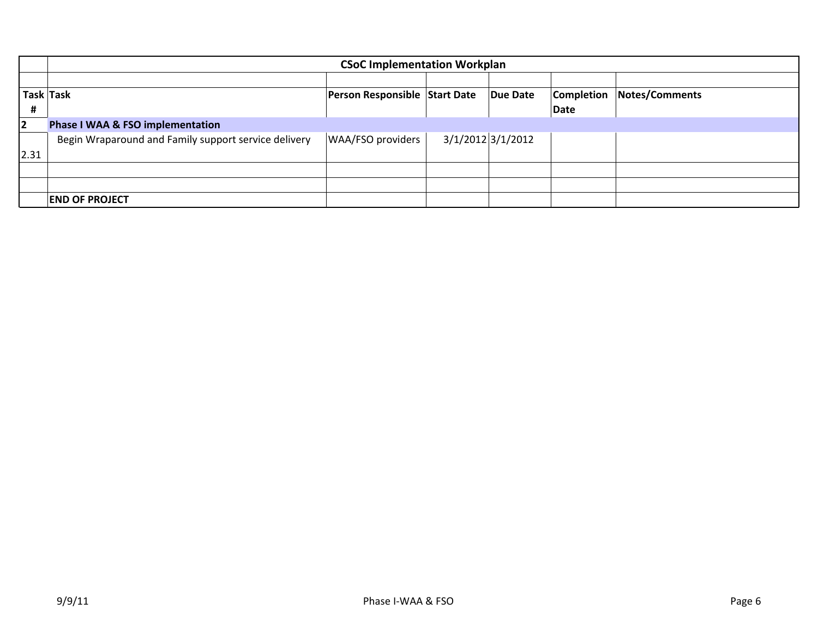|                | <b>CSoC Implementation Workplan</b>                  |                               |                       |          |                   |                |  |  |  |
|----------------|------------------------------------------------------|-------------------------------|-----------------------|----------|-------------------|----------------|--|--|--|
|                |                                                      |                               |                       |          |                   |                |  |  |  |
|                | Task Task                                            | Person Responsible Start Date |                       | Due Date | <b>Completion</b> | Notes/Comments |  |  |  |
| #              |                                                      |                               |                       |          | <b>Date</b>       |                |  |  |  |
| $\overline{2}$ | <b>Phase I WAA &amp; FSO implementation</b>          |                               |                       |          |                   |                |  |  |  |
|                | Begin Wraparound and Family support service delivery | <b>WAA/FSO providers</b>      | $3/1/2012$ $3/1/2012$ |          |                   |                |  |  |  |
| 2.31           |                                                      |                               |                       |          |                   |                |  |  |  |
|                |                                                      |                               |                       |          |                   |                |  |  |  |
|                |                                                      |                               |                       |          |                   |                |  |  |  |
|                | <b>END OF PROJECT</b>                                |                               |                       |          |                   |                |  |  |  |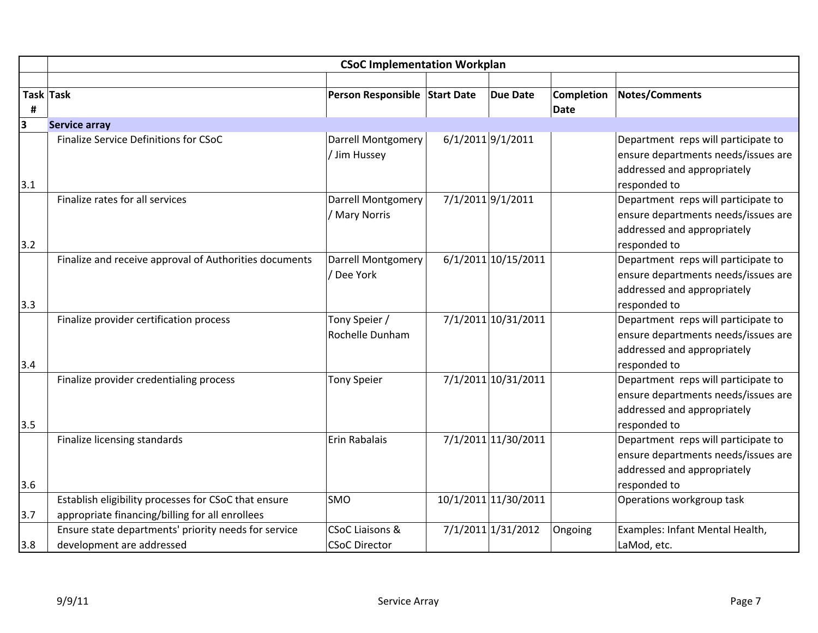|                | <b>CSoC Implementation Workplan</b>                                                                     |                                                    |                   |                      |                    |                                                                                                                           |  |  |
|----------------|---------------------------------------------------------------------------------------------------------|----------------------------------------------------|-------------------|----------------------|--------------------|---------------------------------------------------------------------------------------------------------------------------|--|--|
| Task Task<br># |                                                                                                         | Person Responsible Start Date                      |                   | <b>Due Date</b>      | Completion<br>Date | <b>Notes/Comments</b>                                                                                                     |  |  |
| 3              | <b>Service array</b>                                                                                    |                                                    |                   |                      |                    |                                                                                                                           |  |  |
| 3.1            | <b>Finalize Service Definitions for CSoC</b>                                                            | Darrell Montgomery<br>/ Jim Hussey                 | 6/1/2011 9/1/2011 |                      |                    | Department reps will participate to<br>ensure departments needs/issues are<br>addressed and appropriately<br>responded to |  |  |
| 3.2            | Finalize rates for all services                                                                         | Darrell Montgomery<br>/ Mary Norris                | 7/1/2011 9/1/2011 |                      |                    | Department reps will participate to<br>ensure departments needs/issues are<br>addressed and appropriately<br>responded to |  |  |
| 3.3            | Finalize and receive approval of Authorities documents                                                  | <b>Darrell Montgomery</b><br>/ Dee York            |                   | 6/1/2011 10/15/2011  |                    | Department reps will participate to<br>ensure departments needs/issues are<br>addressed and appropriately<br>responded to |  |  |
| 3.4            | Finalize provider certification process                                                                 | Tony Speier /<br>Rochelle Dunham                   |                   | 7/1/2011 10/31/2011  |                    | Department reps will participate to<br>ensure departments needs/issues are<br>addressed and appropriately<br>responded to |  |  |
| 3.5            | Finalize provider credentialing process                                                                 | <b>Tony Speier</b>                                 |                   | 7/1/2011 10/31/2011  |                    | Department reps will participate to<br>ensure departments needs/issues are<br>addressed and appropriately<br>responded to |  |  |
| 3.6            | Finalize licensing standards                                                                            | Erin Rabalais                                      |                   | 7/1/2011 11/30/2011  |                    | Department reps will participate to<br>ensure departments needs/issues are<br>addressed and appropriately<br>responded to |  |  |
| 3.7            | Establish eligibility processes for CSoC that ensure<br>appropriate financing/billing for all enrollees | SMO                                                |                   | 10/1/2011 11/30/2011 |                    | Operations workgroup task                                                                                                 |  |  |
| 3.8            | Ensure state departments' priority needs for service<br>development are addressed                       | <b>CSoC Liaisons &amp;</b><br><b>CSoC Director</b> |                   | 7/1/2011 1/31/2012   | Ongoing            | Examples: Infant Mental Health,<br>LaMod, etc.                                                                            |  |  |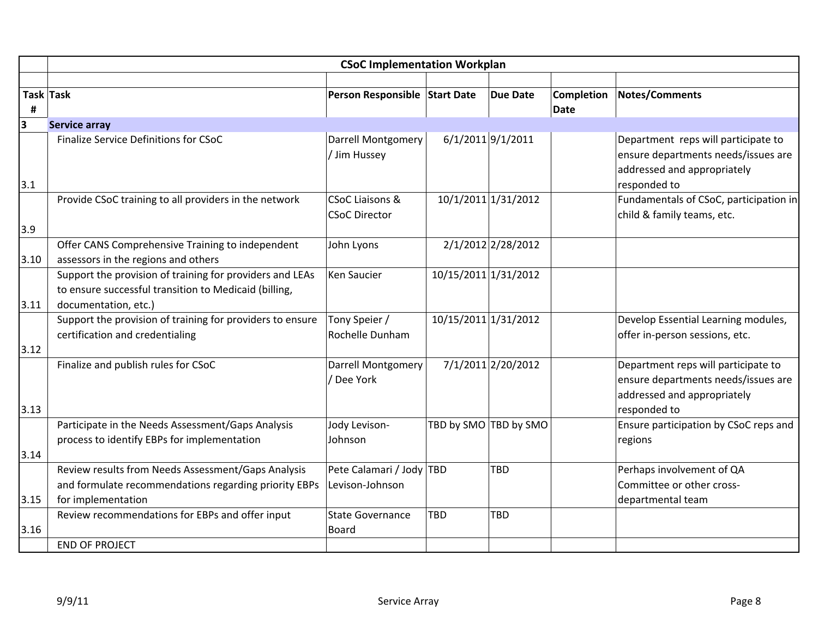|      | <b>CSoC Implementation Workplan</b>                                                                                                       |                                                    |                      |                       |                   |                                                                                                                           |  |
|------|-------------------------------------------------------------------------------------------------------------------------------------------|----------------------------------------------------|----------------------|-----------------------|-------------------|---------------------------------------------------------------------------------------------------------------------------|--|
|      | Task Task                                                                                                                                 | Person Responsible Start Date                      |                      | <b>Due Date</b>       | <b>Completion</b> | <b>Notes/Comments</b>                                                                                                     |  |
| #    |                                                                                                                                           |                                                    |                      |                       | <b>Date</b>       |                                                                                                                           |  |
| 3    | <b>Service array</b>                                                                                                                      |                                                    |                      |                       |                   |                                                                                                                           |  |
| 3.1  | Finalize Service Definitions for CSoC                                                                                                     | Darrell Montgomery<br>/ Jim Hussey                 |                      | $6/1/2011$ 9/1/2011   |                   | Department reps will participate to<br>ensure departments needs/issues are<br>addressed and appropriately<br>responded to |  |
|      | Provide CSoC training to all providers in the network                                                                                     | <b>CSoC Liaisons &amp;</b><br><b>CSoC Director</b> |                      | 10/1/2011 1/31/2012   |                   | Fundamentals of CSoC, participation in<br>child & family teams, etc.                                                      |  |
| 3.9  |                                                                                                                                           |                                                    |                      |                       |                   |                                                                                                                           |  |
| 3.10 | Offer CANS Comprehensive Training to independent<br>assessors in the regions and others                                                   | John Lyons                                         |                      | 2/1/2012 2/28/2012    |                   |                                                                                                                           |  |
| 3.11 | Support the provision of training for providers and LEAs<br>to ensure successful transition to Medicaid (billing,<br>documentation, etc.) | Ken Saucier                                        | 10/15/2011 1/31/2012 |                       |                   |                                                                                                                           |  |
| 3.12 | Support the provision of training for providers to ensure<br>certification and credentialing                                              | Tony Speier /<br>Rochelle Dunham                   | 10/15/2011 1/31/2012 |                       |                   | Develop Essential Learning modules,<br>offer in-person sessions, etc.                                                     |  |
| 3.13 | Finalize and publish rules for CSoC                                                                                                       | <b>Darrell Montgomery</b><br>/ Dee York            |                      | 7/1/2011 2/20/2012    |                   | Department reps will participate to<br>ensure departments needs/issues are<br>addressed and appropriately<br>responded to |  |
| 3.14 | Participate in the Needs Assessment/Gaps Analysis<br>process to identify EBPs for implementation                                          | Jody Levison-<br>Johnson                           |                      | TBD by SMO TBD by SMO |                   | Ensure participation by CSoC reps and<br>regions                                                                          |  |
| 3.15 | Review results from Needs Assessment/Gaps Analysis<br>and formulate recommendations regarding priority EBPs<br>for implementation         | Pete Calamari / Jody TBD<br>Levison-Johnson        |                      | <b>TBD</b>            |                   | Perhaps involvement of QA<br>Committee or other cross-<br>departmental team                                               |  |
| 3.16 | Review recommendations for EBPs and offer input                                                                                           | <b>State Governance</b><br>Board                   | TBD                  | TBD                   |                   |                                                                                                                           |  |
|      | <b>END OF PROJECT</b>                                                                                                                     |                                                    |                      |                       |                   |                                                                                                                           |  |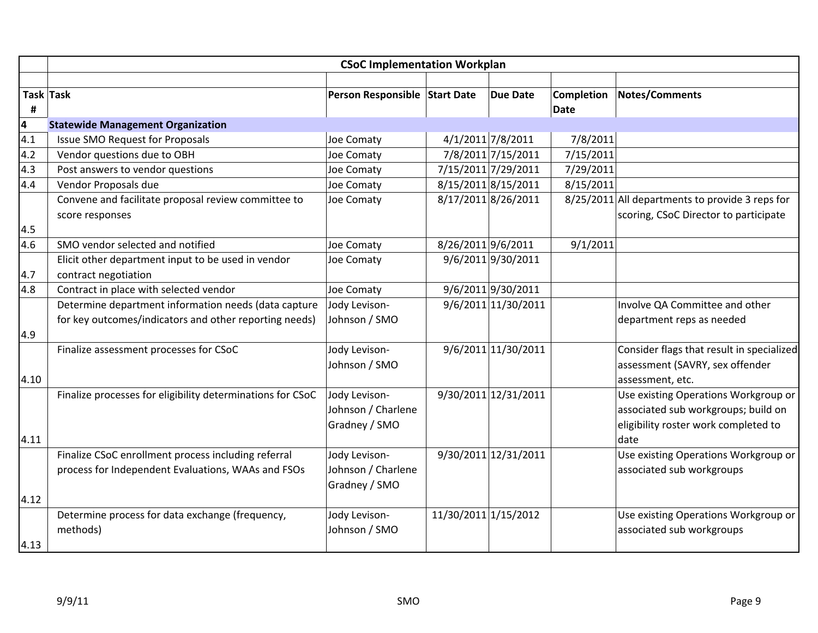|           | <b>CSoC Implementation Workplan</b>                        |                               |                      |                      |                   |                                                 |  |
|-----------|------------------------------------------------------------|-------------------------------|----------------------|----------------------|-------------------|-------------------------------------------------|--|
|           |                                                            |                               |                      |                      |                   |                                                 |  |
| Task Task |                                                            | Person Responsible Start Date |                      | <b>Due Date</b>      | <b>Completion</b> | <b>Notes/Comments</b>                           |  |
| #         |                                                            |                               |                      |                      | Date              |                                                 |  |
| 4         | <b>Statewide Management Organization</b>                   |                               |                      |                      |                   |                                                 |  |
| 4.1       | <b>Issue SMO Request for Proposals</b>                     | Joe Comaty                    |                      | 4/1/2011 7/8/2011    | 7/8/2011          |                                                 |  |
| 4.2       | Vendor questions due to OBH                                | Joe Comaty                    |                      | 7/8/2011 7/15/2011   | 7/15/2011         |                                                 |  |
| 4.3       | Post answers to vendor questions                           | Joe Comaty                    |                      | 7/15/2011 7/29/2011  | 7/29/2011         |                                                 |  |
| 4.4       | Vendor Proposals due                                       | Joe Comaty                    |                      | 8/15/2011 8/15/2011  | 8/15/2011         |                                                 |  |
|           | Convene and facilitate proposal review committee to        | Joe Comaty                    |                      | 8/17/2011 8/26/2011  |                   | 8/25/2011 All departments to provide 3 reps for |  |
|           | score responses                                            |                               |                      |                      |                   | scoring, CSoC Director to participate           |  |
| 4.5       |                                                            |                               |                      |                      |                   |                                                 |  |
| 4.6       | SMO vendor selected and notified                           | <b>Joe Comaty</b>             | 8/26/2011 9/6/2011   |                      | 9/1/2011          |                                                 |  |
|           | Elicit other department input to be used in vendor         | Joe Comaty                    |                      | 9/6/2011 9/30/2011   |                   |                                                 |  |
| 4.7       | contract negotiation                                       |                               |                      |                      |                   |                                                 |  |
| 4.8       | Contract in place with selected vendor                     | Joe Comaty                    |                      | 9/6/2011 9/30/2011   |                   |                                                 |  |
|           | Determine department information needs (data capture       | Jody Levison-                 |                      | 9/6/2011 11/30/2011  |                   | Involve QA Committee and other                  |  |
|           | for key outcomes/indicators and other reporting needs)     | Johnson / SMO                 |                      |                      |                   | department reps as needed                       |  |
| 4.9       |                                                            |                               |                      |                      |                   |                                                 |  |
|           | Finalize assessment processes for CSoC                     | Jody Levison-                 |                      | 9/6/2011 11/30/2011  |                   | Consider flags that result in specialized       |  |
|           |                                                            | Johnson / SMO                 |                      |                      |                   | assessment (SAVRY, sex offender                 |  |
| 4.10      |                                                            |                               |                      |                      |                   | assessment, etc.                                |  |
|           | Finalize processes for eligibility determinations for CSoC | Jody Levison-                 |                      | 9/30/2011 12/31/2011 |                   | Use existing Operations Workgroup or            |  |
|           |                                                            | Johnson / Charlene            |                      |                      |                   | associated sub workgroups; build on             |  |
|           |                                                            | Gradney / SMO                 |                      |                      |                   | eligibility roster work completed to            |  |
| 4.11      |                                                            |                               |                      |                      |                   | date                                            |  |
|           | Finalize CSoC enrollment process including referral        | Jody Levison-                 |                      | 9/30/2011 12/31/2011 |                   | Use existing Operations Workgroup or            |  |
|           | process for Independent Evaluations, WAAs and FSOs         | Johnson / Charlene            |                      |                      |                   | associated sub workgroups                       |  |
|           |                                                            | Gradney / SMO                 |                      |                      |                   |                                                 |  |
| 4.12      |                                                            |                               |                      |                      |                   |                                                 |  |
|           | Determine process for data exchange (frequency,            | Jody Levison-                 | 11/30/2011 1/15/2012 |                      |                   | Use existing Operations Workgroup or            |  |
|           | methods)                                                   | Johnson / SMO                 |                      |                      |                   | associated sub workgroups                       |  |
| 4.13      |                                                            |                               |                      |                      |                   |                                                 |  |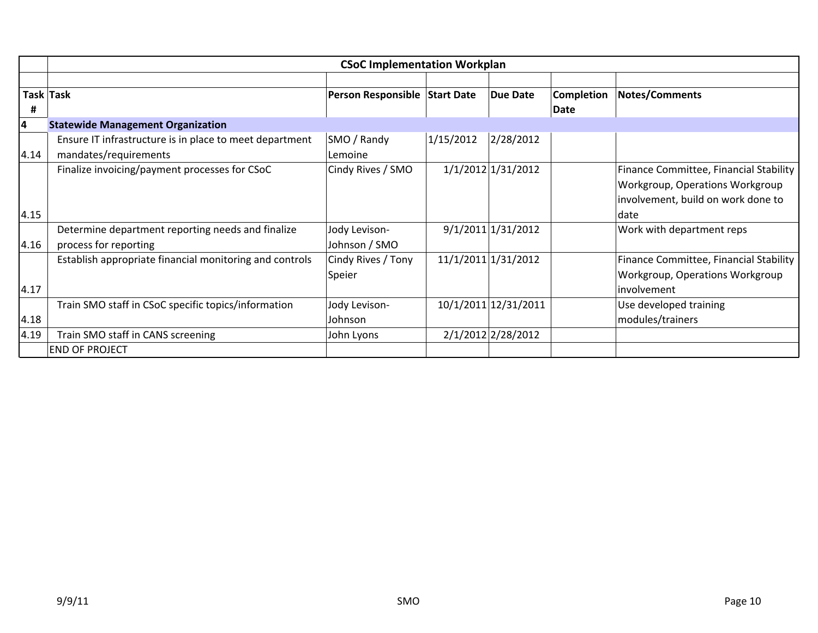|      | <b>CSoC Implementation Workplan</b>                     |                               |           |                      |            |                                        |  |  |
|------|---------------------------------------------------------|-------------------------------|-----------|----------------------|------------|----------------------------------------|--|--|
|      |                                                         |                               |           |                      |            |                                        |  |  |
|      | Task Task                                               | Person Responsible Start Date |           | <b>Due Date</b>      | Completion | <b>Notes/Comments</b>                  |  |  |
| #    |                                                         |                               |           |                      | Date       |                                        |  |  |
| 4    | <b>Statewide Management Organization</b>                |                               |           |                      |            |                                        |  |  |
|      | Ensure IT infrastructure is in place to meet department | SMO / Randy                   | 1/15/2012 | 2/28/2012            |            |                                        |  |  |
| 4.14 | mandates/requirements                                   | Lemoine                       |           |                      |            |                                        |  |  |
|      | Finalize invoicing/payment processes for CSoC           | Cindy Rives / SMO             |           | 1/1/2012 1/31/2012   |            | Finance Committee, Financial Stability |  |  |
|      |                                                         |                               |           |                      |            | <b>Workgroup, Operations Workgroup</b> |  |  |
|      |                                                         |                               |           |                      |            | involvement, build on work done to     |  |  |
| 4.15 |                                                         |                               |           |                      |            | date                                   |  |  |
|      | Determine department reporting needs and finalize       | Jody Levison-                 |           | 9/1/2011 1/31/2012   |            | Work with department reps              |  |  |
| 4.16 | process for reporting                                   | Johnson / SMO                 |           |                      |            |                                        |  |  |
|      | Establish appropriate financial monitoring and controls | Cindy Rives / Tony            |           | 11/1/2011 1/31/2012  |            | Finance Committee, Financial Stability |  |  |
|      |                                                         | Speier                        |           |                      |            | Workgroup, Operations Workgroup        |  |  |
| 4.17 |                                                         |                               |           |                      |            | involvement                            |  |  |
|      | Train SMO staff in CSoC specific topics/information     | Jody Levison-                 |           | 10/1/2011 12/31/2011 |            | Use developed training                 |  |  |
| 4.18 |                                                         | Johnson                       |           |                      |            | modules/trainers                       |  |  |
| 4.19 | Train SMO staff in CANS screening                       | John Lyons                    |           | 2/1/2012 2/28/2012   |            |                                        |  |  |
|      | <b>END OF PROJECT</b>                                   |                               |           |                      |            |                                        |  |  |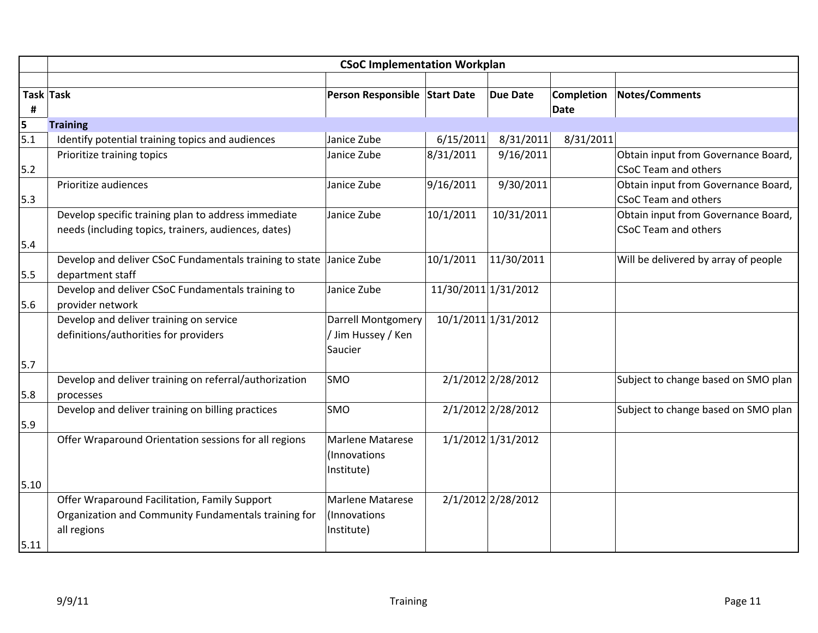|                 | <b>CSoC Implementation Workplan</b>                                 |                               |                      |                    |             |                                      |  |
|-----------------|---------------------------------------------------------------------|-------------------------------|----------------------|--------------------|-------------|--------------------------------------|--|
|                 |                                                                     |                               |                      |                    |             |                                      |  |
| Task Task       |                                                                     | Person Responsible Start Date |                      | <b>Due Date</b>    | Completion  | Notes/Comments                       |  |
| #               |                                                                     |                               |                      |                    | <b>Date</b> |                                      |  |
| $\frac{5}{5.1}$ | <b>Training</b>                                                     |                               |                      |                    |             |                                      |  |
|                 | Identify potential training topics and audiences                    | Janice Zube                   | 6/15/2011            | 8/31/2011          | 8/31/2011   |                                      |  |
|                 | Prioritize training topics                                          | Janice Zube                   | 8/31/2011            | 9/16/2011          |             | Obtain input from Governance Board,  |  |
| $5.2$           |                                                                     |                               |                      |                    |             | <b>CSoC Team and others</b>          |  |
|                 | Prioritize audiences                                                | Janice Zube                   | 9/16/2011            | 9/30/2011          |             | Obtain input from Governance Board,  |  |
| 5.3             |                                                                     |                               |                      |                    |             | <b>CSoC Team and others</b>          |  |
|                 | Develop specific training plan to address immediate                 | Janice Zube                   | 10/1/2011            | 10/31/2011         |             | Obtain input from Governance Board,  |  |
|                 | needs (including topics, trainers, audiences, dates)                |                               |                      |                    |             | <b>CSoC Team and others</b>          |  |
| 5.4             |                                                                     |                               |                      |                    |             |                                      |  |
|                 | Develop and deliver CSoC Fundamentals training to state Janice Zube |                               | 10/1/2011            | 11/30/2011         |             | Will be delivered by array of people |  |
| 5.5             | department staff                                                    |                               |                      |                    |             |                                      |  |
|                 | Develop and deliver CSoC Fundamentals training to                   | Janice Zube                   | 11/30/2011 1/31/2012 |                    |             |                                      |  |
| 5.6             | provider network                                                    |                               |                      |                    |             |                                      |  |
|                 | Develop and deliver training on service                             | <b>Darrell Montgomery</b>     | 10/1/2011 1/31/2012  |                    |             |                                      |  |
|                 | definitions/authorities for providers                               | / Jim Hussey / Ken            |                      |                    |             |                                      |  |
|                 |                                                                     | Saucier                       |                      |                    |             |                                      |  |
| 5.7             |                                                                     |                               |                      |                    |             |                                      |  |
|                 | Develop and deliver training on referral/authorization              | SMO                           |                      | 2/1/2012 2/28/2012 |             | Subject to change based on SMO plan  |  |
| 5.8             | processes                                                           |                               |                      |                    |             |                                      |  |
|                 | Develop and deliver training on billing practices                   | SMO                           |                      | 2/1/2012 2/28/2012 |             | Subject to change based on SMO plan  |  |
| 5.9             |                                                                     |                               |                      |                    |             |                                      |  |
|                 | Offer Wraparound Orientation sessions for all regions               | <b>Marlene Matarese</b>       |                      | 1/1/2012 1/31/2012 |             |                                      |  |
|                 |                                                                     | (Innovations                  |                      |                    |             |                                      |  |
|                 |                                                                     | Institute)                    |                      |                    |             |                                      |  |
| $5.10$          |                                                                     |                               |                      |                    |             |                                      |  |
|                 | Offer Wraparound Facilitation, Family Support                       | Marlene Matarese              |                      | 2/1/2012 2/28/2012 |             |                                      |  |
|                 | Organization and Community Fundamentals training for                | (Innovations                  |                      |                    |             |                                      |  |
|                 | all regions                                                         | Institute)                    |                      |                    |             |                                      |  |
| $5.11$          |                                                                     |                               |                      |                    |             |                                      |  |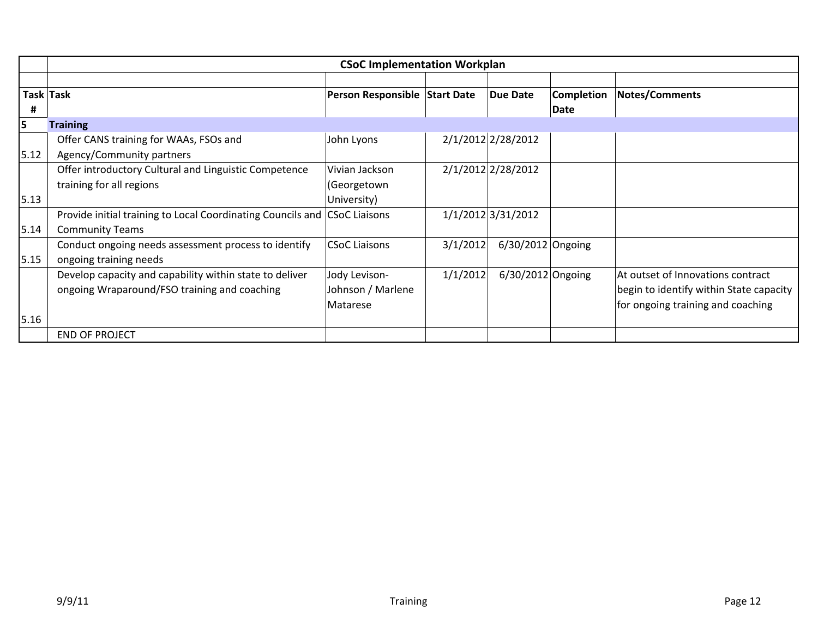|        | <b>CSoC Implementation Workplan</b>                                                                     |                                                |          |                     |                                  |                                                                                                                   |  |
|--------|---------------------------------------------------------------------------------------------------------|------------------------------------------------|----------|---------------------|----------------------------------|-------------------------------------------------------------------------------------------------------------------|--|
| #      | Task Task                                                                                               | Person Responsible Start Date                  |          | <b>Due Date</b>     | <b>Completion</b><br><b>Date</b> | Notes/Comments                                                                                                    |  |
| 5      | <b>Training</b>                                                                                         |                                                |          |                     |                                  |                                                                                                                   |  |
| 5.12   | Offer CANS training for WAAs, FSOs and<br>Agency/Community partners                                     | John Lyons                                     |          | 2/1/2012 2/28/2012  |                                  |                                                                                                                   |  |
|        | Offer introductory Cultural and Linguistic Competence<br>training for all regions                       | Vivian Jackson<br>(Georgetown                  |          | 2/1/2012 2/28/2012  |                                  |                                                                                                                   |  |
| 5.13   |                                                                                                         | University)                                    |          |                     |                                  |                                                                                                                   |  |
| 5.14   | Provide initial training to Local Coordinating Councils and CSoC Liaisons<br><b>Community Teams</b>     |                                                |          | 1/1/2012 3/31/2012  |                                  |                                                                                                                   |  |
| 5.15   | Conduct ongoing needs assessment process to identify<br>ongoing training needs                          | <b>CSoC Liaisons</b>                           | 3/1/2012 | $6/30/2012$ Ongoing |                                  |                                                                                                                   |  |
|        | Develop capacity and capability within state to deliver<br>ongoing Wraparound/FSO training and coaching | Jody Levison-<br>Johnson / Marlene<br>Matarese | 1/1/2012 | $6/30/2012$ Ongoing |                                  | At outset of Innovations contract<br>begin to identify within State capacity<br>for ongoing training and coaching |  |
| $5.16$ |                                                                                                         |                                                |          |                     |                                  |                                                                                                                   |  |
|        | <b>END OF PROJECT</b>                                                                                   |                                                |          |                     |                                  |                                                                                                                   |  |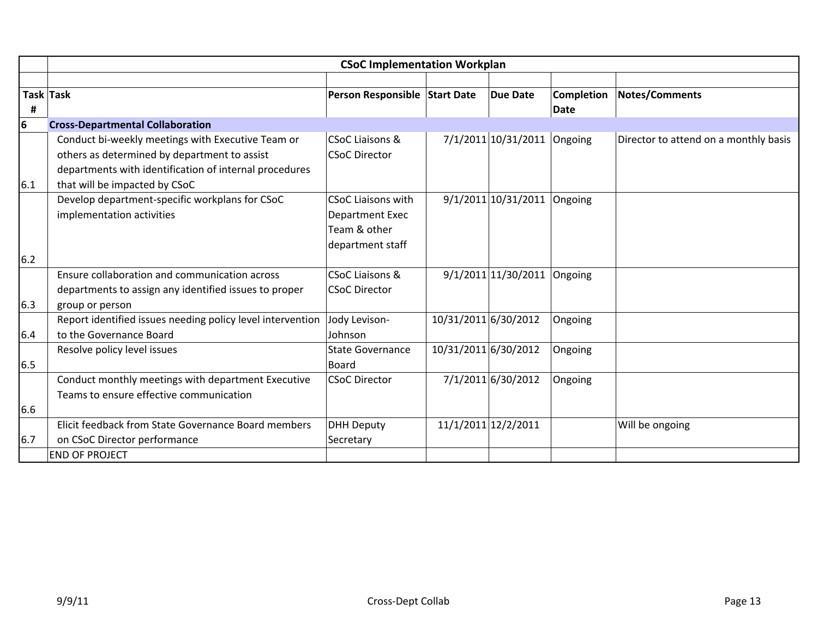|     | <b>CSoC Implementation Workplan</b>                                                                                                                                                          |                                                                                         |                      |                               |             |                                       |  |
|-----|----------------------------------------------------------------------------------------------------------------------------------------------------------------------------------------------|-----------------------------------------------------------------------------------------|----------------------|-------------------------------|-------------|---------------------------------------|--|
|     |                                                                                                                                                                                              |                                                                                         |                      |                               |             |                                       |  |
|     | Task Task                                                                                                                                                                                    | Person Responsible Start Date                                                           |                      | <b>Due Date</b>               | Completion  | <b>Notes/Comments</b>                 |  |
| #   |                                                                                                                                                                                              |                                                                                         |                      |                               | <b>Date</b> |                                       |  |
| 6   | <b>Cross-Departmental Collaboration</b>                                                                                                                                                      |                                                                                         |                      |                               |             |                                       |  |
| 6.1 | Conduct bi-weekly meetings with Executive Team or<br>others as determined by department to assist<br>departments with identification of internal procedures<br>that will be impacted by CSoC | CSoC Liaisons &<br><b>CSoC Director</b>                                                 |                      | 7/1/2011 10/31/2011 Ongoing   |             | Director to attend on a monthly basis |  |
|     | Develop department-specific workplans for CSoC<br>implementation activities                                                                                                                  | <b>CSoC Liaisons with</b><br><b>Department Exec</b><br>Team & other<br>department staff |                      | $9/1/2011$ 10/31/2011 Ongoing |             |                                       |  |
| 6.2 |                                                                                                                                                                                              |                                                                                         |                      |                               |             |                                       |  |
|     | Ensure collaboration and communication across                                                                                                                                                | CSoC Liaisons &                                                                         |                      | $9/1/2011$ 11/30/2011 Ongoing |             |                                       |  |
|     | departments to assign any identified issues to proper                                                                                                                                        | <b>CSoC Director</b>                                                                    |                      |                               |             |                                       |  |
| 6.3 | group or person                                                                                                                                                                              |                                                                                         |                      |                               |             |                                       |  |
| 6.4 | Report identified issues needing policy level intervention<br>to the Governance Board                                                                                                        | Jody Levison-<br>Johnson                                                                | 10/31/2011 6/30/2012 |                               | Ongoing     |                                       |  |
| 6.5 | Resolve policy level issues                                                                                                                                                                  | <b>State Governance</b><br>Board                                                        | 10/31/2011 6/30/2012 |                               | Ongoing     |                                       |  |
|     | Conduct monthly meetings with department Executive<br>Teams to ensure effective communication                                                                                                | <b>CSoC Director</b>                                                                    |                      | 7/1/2011 6/30/2012            | Ongoing     |                                       |  |
| 6.6 |                                                                                                                                                                                              |                                                                                         |                      |                               |             |                                       |  |
|     | Elicit feedback from State Governance Board members                                                                                                                                          | <b>DHH Deputy</b>                                                                       |                      | 11/1/2011 12/2/2011           |             | Will be ongoing                       |  |
| 6.7 | on CSoC Director performance                                                                                                                                                                 | Secretary                                                                               |                      |                               |             |                                       |  |
|     | <b>END OF PROJECT</b>                                                                                                                                                                        |                                                                                         |                      |                               |             |                                       |  |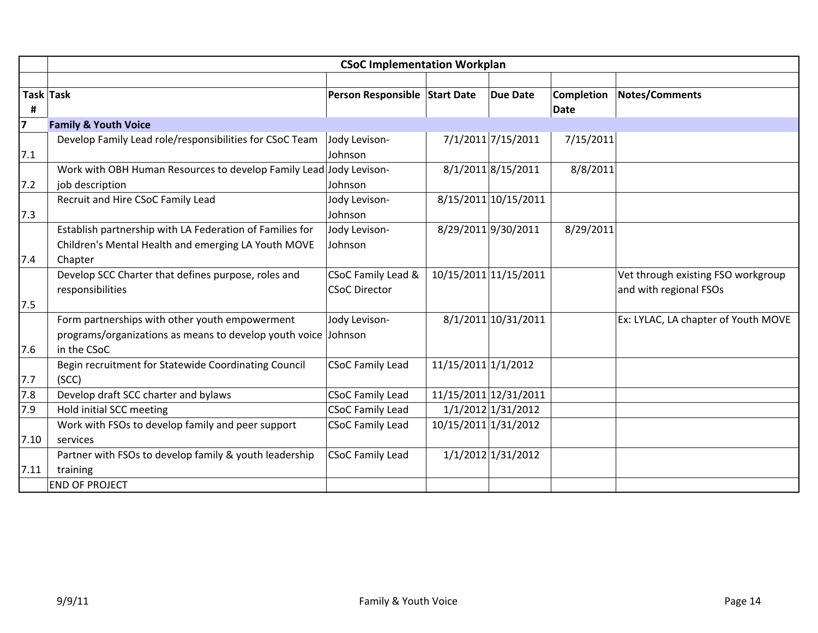|      | <b>CSoC Implementation Workplan</b>                                |                               |                      |                       |                   |                                     |  |
|------|--------------------------------------------------------------------|-------------------------------|----------------------|-----------------------|-------------------|-------------------------------------|--|
|      |                                                                    |                               |                      |                       |                   |                                     |  |
|      | Task Task                                                          | Person Responsible Start Date |                      | <b>Due Date</b>       | <b>Completion</b> | <b>Notes/Comments</b>               |  |
| #    |                                                                    |                               |                      |                       | <b>Date</b>       |                                     |  |
| 7    | <b>Family &amp; Youth Voice</b>                                    |                               |                      |                       |                   |                                     |  |
|      | Develop Family Lead role/responsibilities for CSoC Team            | Jody Levison-                 |                      | 7/1/2011 7/15/2011    | 7/15/2011         |                                     |  |
| 7.1  |                                                                    | Johnson                       |                      |                       |                   |                                     |  |
|      | Work with OBH Human Resources to develop Family Lead Jody Levison- |                               |                      | 8/1/2011 8/15/2011    | 8/8/2011          |                                     |  |
| 7.2  | job description                                                    | Johnson                       |                      |                       |                   |                                     |  |
|      | Recruit and Hire CSoC Family Lead                                  | Jody Levison-                 |                      | 8/15/2011 10/15/2011  |                   |                                     |  |
| 7.3  |                                                                    | Johnson                       |                      |                       |                   |                                     |  |
|      | Establish partnership with LA Federation of Families for           | Jody Levison-                 |                      | 8/29/2011 9/30/2011   | 8/29/2011         |                                     |  |
|      | Children's Mental Health and emerging LA Youth MOVE                | Johnson                       |                      |                       |                   |                                     |  |
| 7.4  | Chapter                                                            |                               |                      |                       |                   |                                     |  |
|      | Develop SCC Charter that defines purpose, roles and                | CSoC Family Lead &            |                      | 10/15/2011 11/15/2011 |                   | Vet through existing FSO workgroup  |  |
|      | responsibilities                                                   | <b>CSoC Director</b>          |                      |                       |                   | and with regional FSOs              |  |
| 7.5  |                                                                    |                               |                      |                       |                   |                                     |  |
|      | Form partnerships with other youth empowerment                     | Jody Levison-                 |                      | 8/1/2011 10/31/2011   |                   | Ex: LYLAC, LA chapter of Youth MOVE |  |
|      | programs/organizations as means to develop youth voice Johnson     |                               |                      |                       |                   |                                     |  |
| 7.6  | in the CSoC                                                        |                               |                      |                       |                   |                                     |  |
|      | Begin recruitment for Statewide Coordinating Council               | <b>CSoC Family Lead</b>       | 11/15/2011 1/1/2012  |                       |                   |                                     |  |
| 7.7  | (SCC)                                                              |                               |                      |                       |                   |                                     |  |
| 7.8  | Develop draft SCC charter and bylaws                               | <b>CSoC Family Lead</b>       |                      | 11/15/2011 12/31/2011 |                   |                                     |  |
| 7.9  | Hold initial SCC meeting                                           | <b>CSoC Family Lead</b>       |                      | 1/1/2012 1/31/2012    |                   |                                     |  |
|      | Work with FSOs to develop family and peer support                  | <b>CSoC Family Lead</b>       | 10/15/2011 1/31/2012 |                       |                   |                                     |  |
| 7.10 | services                                                           |                               |                      |                       |                   |                                     |  |
|      | Partner with FSOs to develop family & youth leadership             | <b>CSoC Family Lead</b>       |                      | 1/1/2012 1/31/2012    |                   |                                     |  |
| 7.11 | training                                                           |                               |                      |                       |                   |                                     |  |
|      | <b>END OF PROJECT</b>                                              |                               |                      |                       |                   |                                     |  |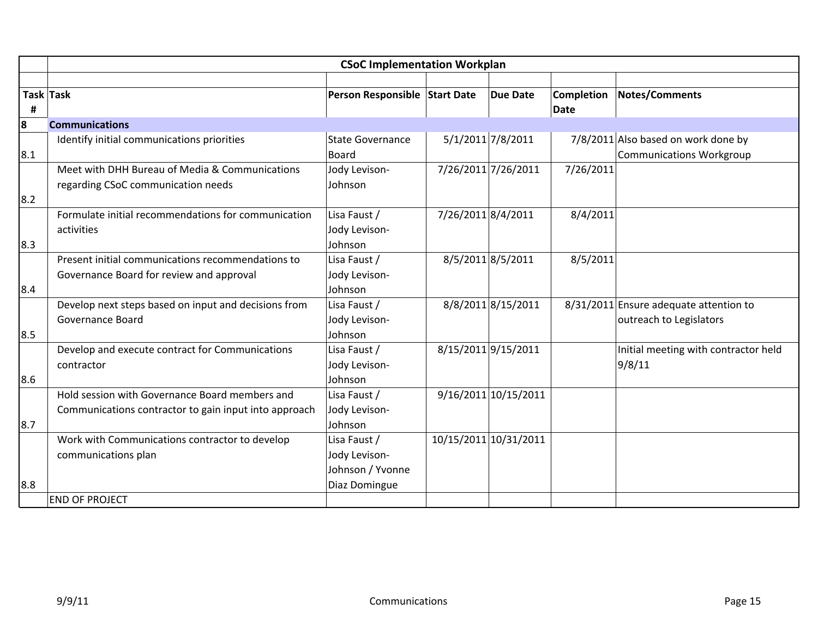|     | <b>CSoC Implementation Workplan</b>                   |                               |                     |                       |                   |                                        |  |
|-----|-------------------------------------------------------|-------------------------------|---------------------|-----------------------|-------------------|----------------------------------------|--|
|     |                                                       |                               |                     |                       |                   |                                        |  |
|     | Task Task                                             | Person Responsible Start Date |                     | <b>Due Date</b>       | <b>Completion</b> | <b>Notes/Comments</b>                  |  |
| #   |                                                       |                               |                     |                       | <b>Date</b>       |                                        |  |
| 8   | <b>Communications</b>                                 |                               |                     |                       |                   |                                        |  |
|     | Identify initial communications priorities            | <b>State Governance</b>       | 5/1/2011 7/8/2011   |                       |                   | 7/8/2011 Also based on work done by    |  |
| 8.1 |                                                       | Board                         |                     |                       |                   | <b>Communications Workgroup</b>        |  |
|     | Meet with DHH Bureau of Media & Communications        | Jody Levison-                 |                     | 7/26/2011 7/26/2011   | 7/26/2011         |                                        |  |
|     | regarding CSoC communication needs                    | Johnson                       |                     |                       |                   |                                        |  |
| 8.2 |                                                       |                               |                     |                       |                   |                                        |  |
|     | Formulate initial recommendations for communication   | Lisa Faust /                  | 7/26/2011 8/4/2011  |                       | 8/4/2011          |                                        |  |
|     | activities                                            | Jody Levison-                 |                     |                       |                   |                                        |  |
| 8.3 |                                                       | Johnson                       |                     |                       |                   |                                        |  |
|     | Present initial communications recommendations to     | Lisa Faust /                  | 8/5/2011 8/5/2011   |                       | 8/5/2011          |                                        |  |
|     | Governance Board for review and approval              | Jody Levison-                 |                     |                       |                   |                                        |  |
| 8.4 |                                                       | Johnson                       |                     |                       |                   |                                        |  |
|     | Develop next steps based on input and decisions from  | Lisa Faust /                  |                     | 8/8/2011 8/15/2011    |                   | 8/31/2011 Ensure adequate attention to |  |
|     | <b>Governance Board</b>                               | Jody Levison-                 |                     |                       |                   | outreach to Legislators                |  |
| 8.5 |                                                       | Johnson                       |                     |                       |                   |                                        |  |
|     | Develop and execute contract for Communications       | Lisa Faust /                  | 8/15/2011 9/15/2011 |                       |                   | Initial meeting with contractor held   |  |
|     | contractor                                            | Jody Levison-                 |                     |                       |                   | 9/8/11                                 |  |
| 8.6 |                                                       | Johnson                       |                     |                       |                   |                                        |  |
|     | Hold session with Governance Board members and        | Lisa Faust /                  |                     | 9/16/2011 10/15/2011  |                   |                                        |  |
|     | Communications contractor to gain input into approach | Jody Levison-                 |                     |                       |                   |                                        |  |
| 8.7 |                                                       | Johnson                       |                     |                       |                   |                                        |  |
|     | Work with Communications contractor to develop        | Lisa Faust /                  |                     | 10/15/2011 10/31/2011 |                   |                                        |  |
|     | communications plan                                   | Jody Levison-                 |                     |                       |                   |                                        |  |
|     |                                                       | Johnson / Yvonne              |                     |                       |                   |                                        |  |
| 8.8 |                                                       | Diaz Domingue                 |                     |                       |                   |                                        |  |
|     | <b>END OF PROJECT</b>                                 |                               |                     |                       |                   |                                        |  |